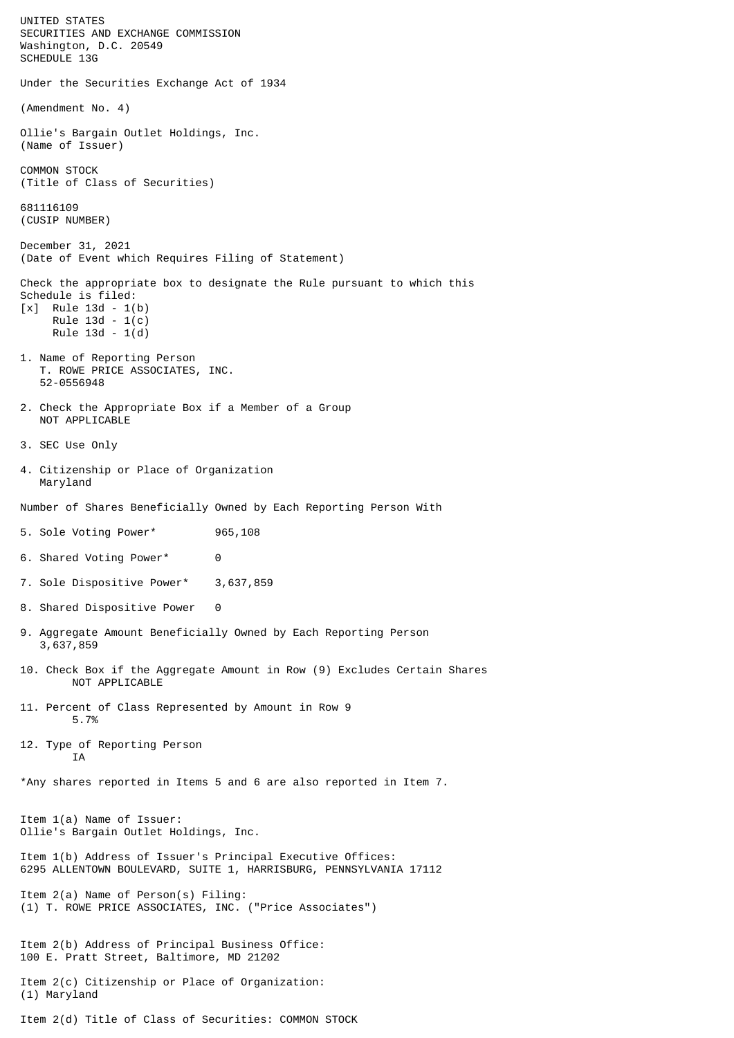UNITED STATES SECURITIES AND EXCHANGE COMMISSION Washington, D.C. 20549 SCHEDULE 13G Under the Securities Exchange Act of 1934 (Amendment No. 4) Ollie's Bargain Outlet Holdings, Inc. (Name of Issuer) COMMON STOCK (Title of Class of Securities) 681116109 (CUSIP NUMBER) December 31, 2021 (Date of Event which Requires Filing of Statement) Check the appropriate box to designate the Rule pursuant to which this Schedule is filed: [x] Rule 13d - 1(b) Rule 13d - 1(c) Rule 13d - 1(d) 1. Name of Reporting Person T. ROWE PRICE ASSOCIATES, INC. 52-0556948 2. Check the Appropriate Box if a Member of a Group NOT APPLICABLE 3. SEC Use Only 4. Citizenship or Place of Organization Maryland Number of Shares Beneficially Owned by Each Reporting Person With 5. Sole Voting Power\* 965,108 6. Shared Voting Power\* 0 7. Sole Dispositive Power\* 3,637,859 8. Shared Dispositive Power 0 9. Aggregate Amount Beneficially Owned by Each Reporting Person 3,637,859 10. Check Box if the Aggregate Amount in Row (9) Excludes Certain Shares NOT APPLICABLE 11. Percent of Class Represented by Amount in Row 9 5.7% 12. Type of Reporting Person **TA** \*Any shares reported in Items 5 and 6 are also reported in Item 7. Item 1(a) Name of Issuer: Ollie's Bargain Outlet Holdings, Inc. Item 1(b) Address of Issuer's Principal Executive Offices: 6295 ALLENTOWN BOULEVARD, SUITE 1, HARRISBURG, PENNSYLVANIA 17112 Item 2(a) Name of Person(s) Filing: (1) T. ROWE PRICE ASSOCIATES, INC. ("Price Associates") Item 2(b) Address of Principal Business Office: 100 E. Pratt Street, Baltimore, MD 21202 Item 2(c) Citizenship or Place of Organization: (1) Maryland Item 2(d) Title of Class of Securities: COMMON STOCK